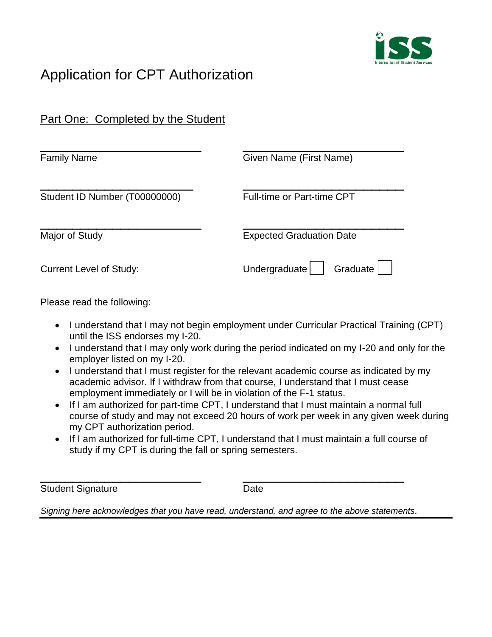

## Application for CPT Authorization

| Part One: Completed by the Student |                                 |
|------------------------------------|---------------------------------|
| <b>Family Name</b>                 | Given Name (First Name)         |
| Student ID Number (T00000000)      | Full-time or Part-time CPT      |
| Major of Study                     | <b>Expected Graduation Date</b> |
| <b>Current Level of Study:</b>     | Graduate<br>Undergraduate       |

Please read the following:

- I understand that I may not begin employment under Curricular Practical Training (CPT) until the ISS endorses my I-20.
- I understand that I may only work during the period indicated on my I-20 and only for the employer listed on my I-20.
- I understand that I must register for the relevant academic course as indicated by my academic advisor. If I withdraw from that course, I understand that I must cease employment immediately or I will be in violation of the F-1 status.
- If I am authorized for part-time CPT, I understand that I must maintain a normal full course of study and may not exceed 20 hours of work per week in any given week during my CPT authorization period.
- If I am authorized for full-time CPT, I understand that I must maintain a full course of study if my CPT is during the fall or spring semesters.

\_\_\_\_\_\_\_\_\_\_\_\_\_\_\_\_\_\_\_\_ \_\_\_\_\_\_\_\_\_\_\_\_\_\_\_\_\_\_\_\_ Student Signature Date

*Signing here acknowledges that you have read, understand, and agree to the above statements.*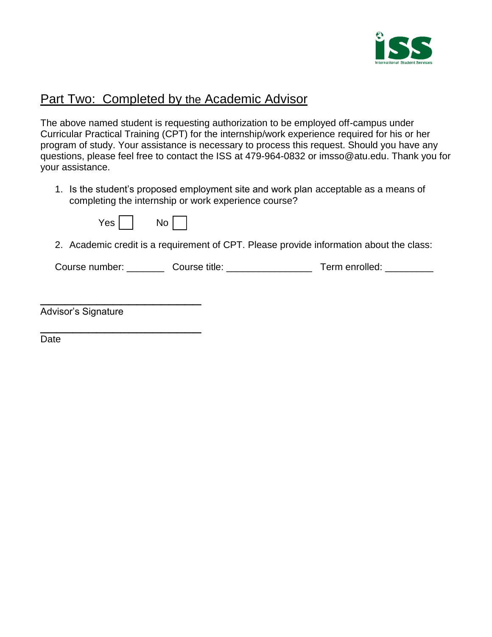

## Part Two: Completed by the Academic Advisor

The above named student is requesting authorization to be employed off-campus under Curricular Practical Training (CPT) for the internship/work experience required for his or her program of study. Your assistance is necessary to process this request. Should you have any questions, please feel free to contact the ISS at 479-964-0832 or imsso@atu.edu. Thank you for your assistance.

1. Is the student's proposed employment site and work plan acceptable as a means of completing the internship or work experience course?

| Y<br>No<br>'es |
|----------------|
|----------------|

2. Academic credit is a requirement of CPT. Please provide information about the class:

Course number: Course title: Course title: Term enrolled:

| Advisor's Signature |  |  |
|---------------------|--|--|

\_\_\_\_\_\_\_\_\_\_\_\_\_\_\_\_\_\_\_\_

Date